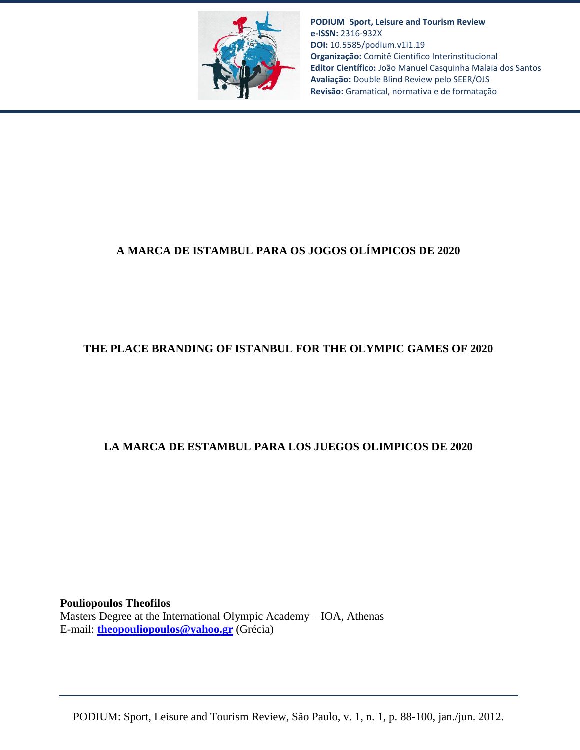

**PODIUM Sport, Leisure and Tourism Review e-ISSN:** 2316-932X **DOI:** 10.5585/podium.v1i1.19 **Organização:** Comitê Científico Interinstitucional **Editor Científico:** João Manuel Casquinha Malaia dos Santos **Avaliação:** Double Blind Review pelo SEER/OJS **Revisão:** Gramatical, normativa e de formatação

# **A MARCA DE ISTAMBUL PARA OS JOGOS OLÍMPICOS DE 2020**

## **THE PLACE BRANDING OF ISTANBUL FOR THE OLYMPIC GAMES OF 2020**

## **LA MARCA DE ESTAMBUL PARA LOS JUEGOS OLIMPICOS DE 2020**

**Pouliopoulos Theofilos** Masters Degree at the International Olympic Academy – IOA, Athenas E-mail: **[theopouliopoulos@yahoo.gr](mailto:theopouliopoulos@yahoo.gr)** (Grécia)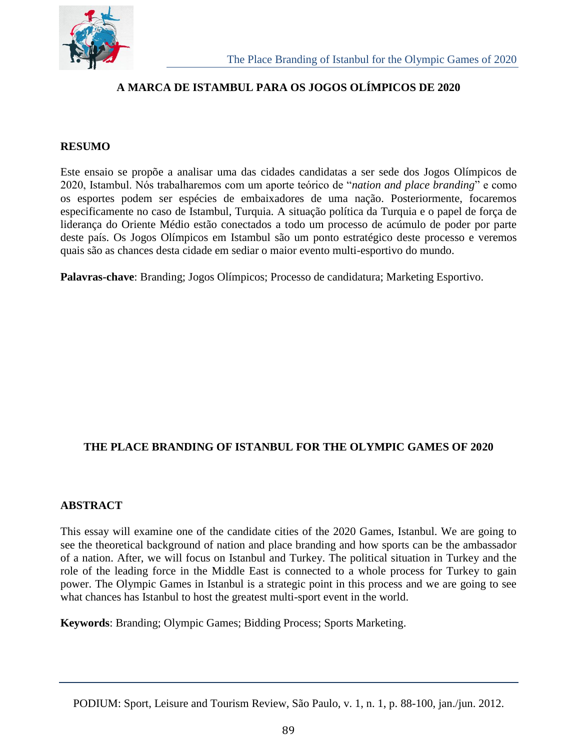

## **A MARCA DE ISTAMBUL PARA OS JOGOS OLÍMPICOS DE 2020**

#### **RESUMO**

Este ensaio se propõe a analisar uma das cidades candidatas a ser sede dos Jogos Olímpicos de 2020, Istambul. Nós trabalharemos com um aporte teórico de "*nation and place branding*" e como os esportes podem ser espécies de embaixadores de uma nação. Posteriormente, focaremos especificamente no caso de Istambul, Turquia. A situação política da Turquia e o papel de força de liderança do Oriente Médio estão conectados a todo um processo de acúmulo de poder por parte deste país. Os Jogos Olímpicos em Istambul são um ponto estratégico deste processo e veremos quais são as chances desta cidade em sediar o maior evento multi-esportivo do mundo.

**Palavras-chave**: Branding; Jogos Olímpicos; Processo de candidatura; Marketing Esportivo.

## **THE PLACE BRANDING OF ISTANBUL FOR THE OLYMPIC GAMES OF 2020**

#### **ABSTRACT**

This essay will examine one of the candidate cities of the 2020 Games, Istanbul. We are going to see the theoretical background of nation and place branding and how sports can be the ambassador of a nation. After, we will focus on Istanbul and Turkey. The political situation in Turkey and the role of the leading force in the Middle East is connected to a whole process for Turkey to gain power. The Olympic Games in Istanbul is a strategic point in this process and we are going to see what chances has Istanbul to host the greatest multi-sport event in the world.

**Keywords**: Branding; Olympic Games; Bidding Process; Sports Marketing.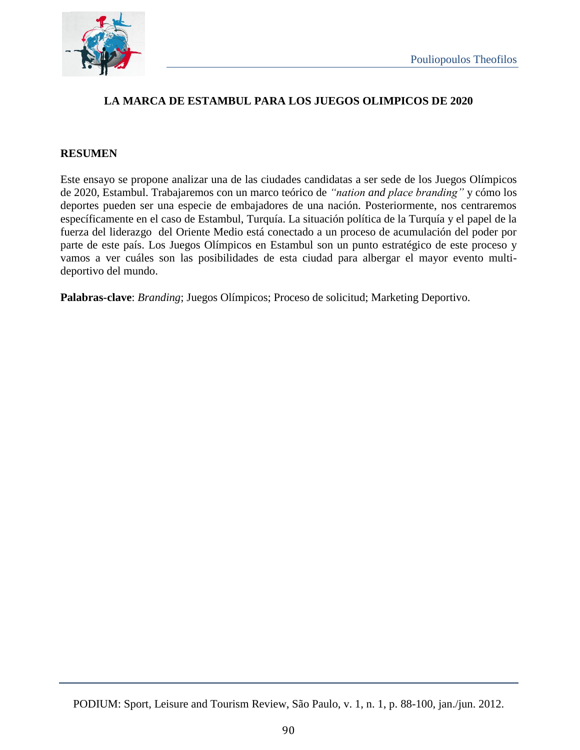

## **LA MARCA DE ESTAMBUL PARA LOS JUEGOS OLIMPICOS DE 2020**

#### **RESUMEN**

Este ensayo se propone analizar una de las ciudades candidatas a ser sede de los Juegos Olímpicos de 2020, Estambul. Trabajaremos con un marco teórico de *"nation and place branding"* y cómo los deportes pueden ser una especie de embajadores de una nación. Posteriormente, nos centraremos específicamente en el caso de Estambul, Turquía. La situación política de la Turquía y el papel de la fuerza del liderazgo del Oriente Medio está conectado a un proceso de acumulación del poder por parte de este país. Los Juegos Olímpicos en Estambul son un punto estratégico de este proceso y vamos a ver cuáles son las posibilidades de esta ciudad para albergar el mayor evento multideportivo del mundo.

**Palabras-clave**: *Branding*; Juegos Olímpicos; Proceso de solicitud; Marketing Deportivo.

PODIUM: Sport, Leisure and Tourism Review, São Paulo, v. 1, n. 1, p. 88-100, jan./jun. 2012.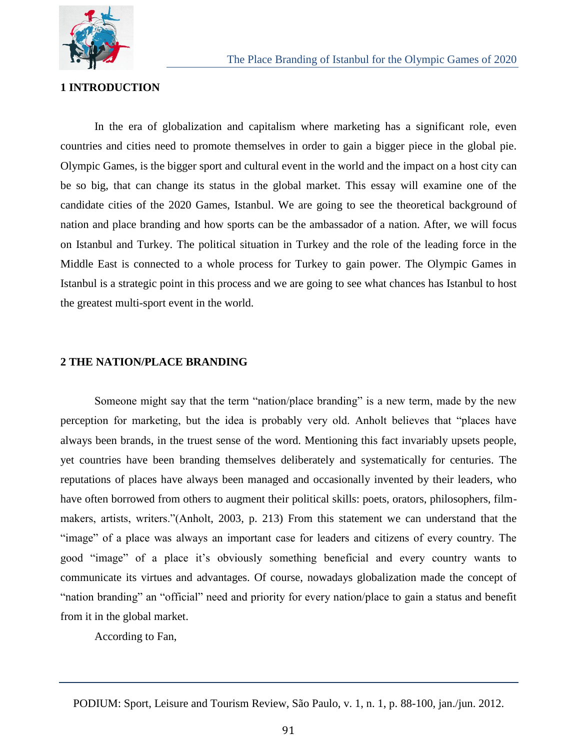

#### **1 INTRODUCTION**

In the era of globalization and capitalism where marketing has a significant role, even countries and cities need to promote themselves in order to gain a bigger piece in the global pie. Olympic Games, is the bigger sport and cultural event in the world and the impact on a host city can be so big, that can change its status in the global market. This essay will examine one of the candidate cities of the 2020 Games, Istanbul. We are going to see the theoretical background of nation and place branding and how sports can be the ambassador of a nation. After, we will focus on Istanbul and Turkey. The political situation in Turkey and the role of the leading force in the Middle East is connected to a whole process for Turkey to gain power. The Olympic Games in Istanbul is a strategic point in this process and we are going to see what chances has Istanbul to host the greatest multi-sport event in the world.

#### **2 THE NATION/PLACE BRANDING**

Someone might say that the term "nation/place branding" is a new term, made by the new perception for marketing, but the idea is probably very old. Anholt believes that "places have always been brands, in the truest sense of the word. Mentioning this fact invariably upsets people, yet countries have been branding themselves deliberately and systematically for centuries. The reputations of places have always been managed and occasionally invented by their leaders, who have often borrowed from others to augment their political skills: poets, orators, philosophers, filmmakers, artists, writers."(Anholt, 2003, p. 213) From this statement we can understand that the "image" of a place was always an important case for leaders and citizens of every country. The good "image" of a place it's obviously something beneficial and every country wants to communicate its virtues and advantages. Of course, nowadays globalization made the concept of "nation branding" an "official" need and priority for every nation/place to gain a status and benefit from it in the global market.

According to Fan,

PODIUM: Sport, Leisure and Tourism Review, São Paulo, v. 1, n. 1, p. 88-100, jan./jun. 2012.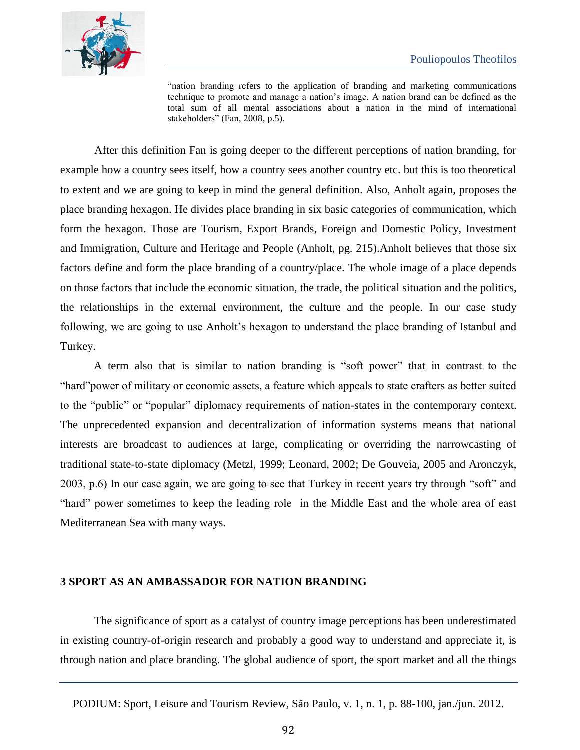

"nation branding refers to the application of branding and marketing communications technique to promote and manage a nation's image. A nation brand can be defined as the total sum of all mental associations about a nation in the mind of international stakeholders" (Fan, 2008, p.5).

After this definition Fan is going deeper to the different perceptions of nation branding, for example how a country sees itself, how a country sees another country etc. but this is too theoretical to extent and we are going to keep in mind the general definition. Also, Anholt again, proposes the place branding hexagon. He divides place branding in six basic categories of communication, which form the hexagon. Those are Tourism, Export Brands, Foreign and Domestic Policy, Investment and Immigration, Culture and Heritage and People (Anholt, pg. 215).Anholt believes that those six factors define and form the place branding of a country/place. The whole image of a place depends on those factors that include the economic situation, the trade, the political situation and the politics, the relationships in the external environment, the culture and the people. In our case study following, we are going to use Anholt's hexagon to understand the place branding of Istanbul and Turkey.

A term also that is similar to nation branding is "soft power" that in contrast to the "hard"power of military or economic assets, a feature which appeals to state crafters as better suited to the "public" or "popular" diplomacy requirements of nation-states in the contemporary context. The unprecedented expansion and decentralization of information systems means that national interests are broadcast to audiences at large, complicating or overriding the narrowcasting of traditional state-to-state diplomacy (Metzl, 1999; Leonard, 2002; De Gouveia, 2005 and Aronczyk, 2003, p.6) In our case again, we are going to see that Turkey in recent years try through "soft" and "hard" power sometimes to keep the leading role in the Middle East and the whole area of east Mediterranean Sea with many ways.

#### **3 SPORT AS AN AMBASSADOR FOR NATION BRANDING**

The significance of sport as a catalyst of country image perceptions has been underestimated in existing country-of-origin research and probably a good way to understand and appreciate it, is through nation and place branding. The global audience of sport, the sport market and all the things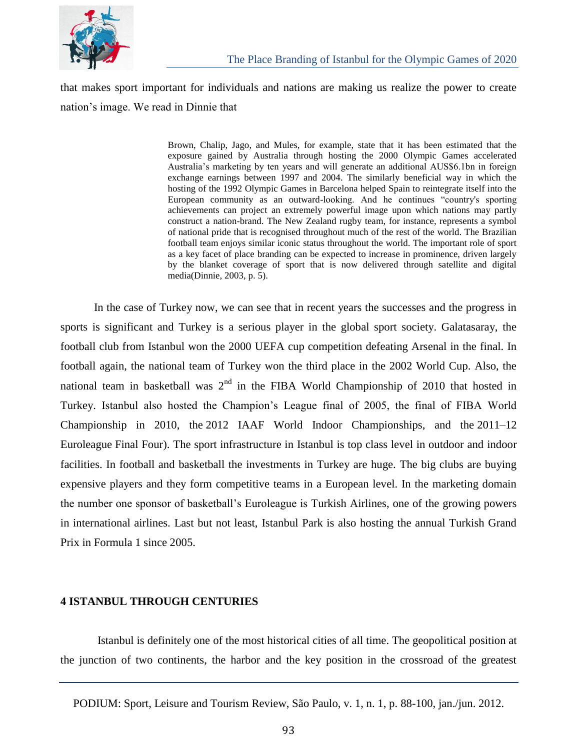

that makes sport important for individuals and nations are making us realize the power to create nation's image. We read in Dinnie that

> Brown, Chalip, Jago, and Mules, for example, state that it has been estimated that the exposure gained by Australia through hosting the 2000 Olympic Games accelerated Australia's marketing by ten years and will generate an additional AUS\$6.1bn in foreign exchange earnings between 1997 and 2004. The similarly beneficial way in which the hosting of the 1992 Olympic Games in Barcelona helped Spain to reintegrate itself into the European community as an outward-looking. And he continues "country's sporting achievements can project an extremely powerful image upon which nations may partly construct a nation-brand. The New Zealand rugby team, for instance, represents a symbol of national pride that is recognised throughout much of the rest of the world. The Brazilian football team enjoys similar iconic status throughout the world. The important role of sport as a key facet of place branding can be expected to increase in prominence, driven largely by the blanket coverage of sport that is now delivered through satellite and digital media(Dinnie, 2003, p. 5).

In the case of Turkey now, we can see that in recent years the successes and the progress in sports is significant and Turkey is a serious player in the global sport society. Galatasaray, the football club from Istanbul won the 2000 UEFA cup competition defeating Arsenal in the final. In football again, the national team of Turkey won the third place in the 2002 World Cup. Also, the national team in basketball was  $2<sup>nd</sup>$  in the FIBA World Championship of 2010 that hosted in Turkey. Istanbul also hosted the Champion's League final of 2005, the final of FIBA World Championship in 2010, the 2012 IAAF World Indoor Championships, and the 2011–12 Euroleague Final Four). The sport infrastructure in Istanbul is top class level in outdoor and indoor facilities. In football and basketball the investments in Turkey are huge. The big clubs are buying expensive players and they form competitive teams in a European level. In the marketing domain the number one sponsor of basketball's Euroleague is Turkish Airlines, one of the growing powers in international airlines. Last but not least, Istanbul Park is also hosting the annual Turkish Grand Prix in Formula 1 since 2005.

#### **4 ISTANBUL THROUGH CENTURIES**

Istanbul is definitely one of the most historical cities of all time. The geopolitical position at the junction of two continents, the harbor and the key position in the crossroad of the greatest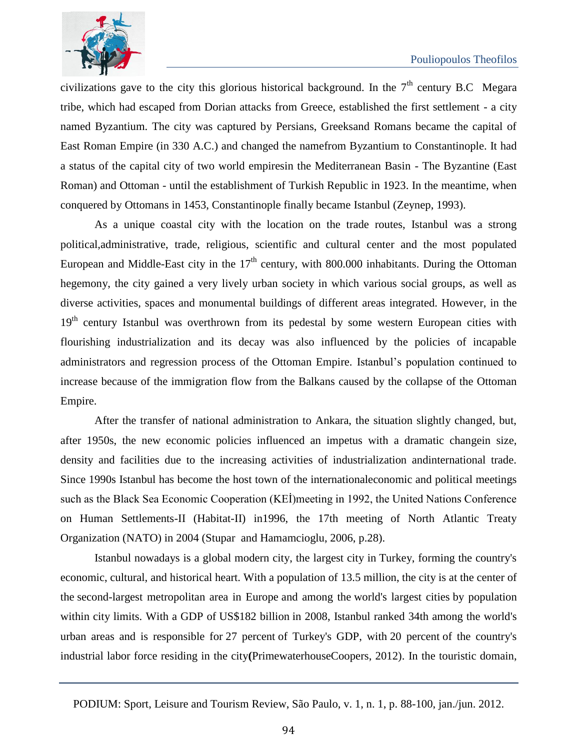

civilizations gave to the city this glorious historical background. In the  $7<sup>th</sup>$  century B.C Megara tribe, which had escaped from Dorian attacks from Greece, established the first settlement - a city named Byzantium. The city was captured by Persians, Greeksand Romans became the capital of East Roman Empire (in 330 A.C.) and changed the namefrom Byzantium to Constantinople. It had a status of the capital city of two world empiresin the Mediterranean Basin - The Byzantine (East Roman) and Ottoman - until the establishment of Turkish Republic in 1923. In the meantime, when conquered by Ottomans in 1453, Constantinople finally became Istanbul (Zeynep, 1993).

As a unique coastal city with the location on the trade routes, Istanbul was a strong political,administrative, trade, religious, scientific and cultural center and the most populated European and Middle-East city in the  $17<sup>th</sup>$  century, with 800.000 inhabitants. During the Ottoman hegemony, the city gained a very lively urban society in which various social groups, as well as diverse activities, spaces and monumental buildings of different areas integrated. However, in the 19<sup>th</sup> century Istanbul was overthrown from its pedestal by some western European cities with flourishing industrialization and its decay was also influenced by the policies of incapable administrators and regression process of the Ottoman Empire. Istanbul's population continued to increase because of the immigration flow from the Balkans caused by the collapse of the Ottoman Empire.

After the transfer of national administration to Ankara, the situation slightly changed, but, after 1950s, the new economic policies influenced an impetus with a dramatic changein size, density and facilities due to the increasing activities of industrialization andinternational trade. Since 1990s Istanbul has become the host town of the internationaleconomic and political meetings such as the Black Sea Economic Cooperation (KEİ)meeting in 1992, the United Nations Conference on Human Settlements-II (Habitat-II) in1996, the 17th meeting of North Atlantic Treaty Organization (NATO) in 2004 (Stupar and Hamamcioglu, 2006, p.28).

Istanbul nowadays is a global modern city, the largest city in Turkey, forming the country's economic, cultural, and historical heart. With a population of 13.5 million, the city is at the center of the second-largest metropolitan area in Europe and among the world's largest cities by population within city limits. With a GDP of US\$182 billion in 2008, Istanbul ranked 34th among the world's urban areas and is responsible for 27 percent of Turkey's GDP, with 20 percent of the country's industrial labor force residing in the city**(**PrimewaterhouseCoopers, 2012). In the touristic domain,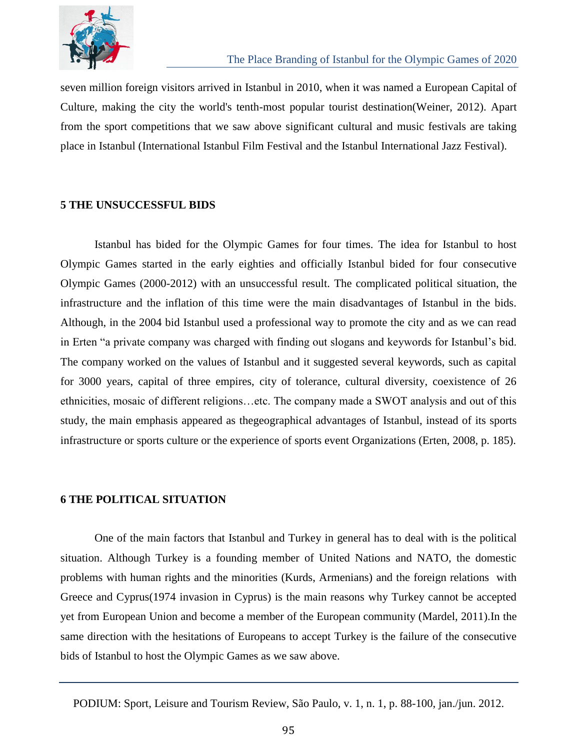

seven million foreign visitors arrived in Istanbul in 2010, when it was named a European Capital of Culture, making the city the world's tenth-most popular tourist destination(Weiner, 2012). Apart from the sport competitions that we saw above significant cultural and music festivals are taking place in Istanbul (International Istanbul Film Festival and the Istanbul International Jazz Festival).

#### **5 THE UNSUCCESSFUL BIDS**

Istanbul has bided for the Olympic Games for four times. The idea for Istanbul to host Olympic Games started in the early eighties and officially Istanbul bided for four consecutive Olympic Games (2000-2012) with an unsuccessful result. The complicated political situation, the infrastructure and the inflation of this time were the main disadvantages of Istanbul in the bids. Although, in the 2004 bid Istanbul used a professional way to promote the city and as we can read in Erten "a private company was charged with finding out slogans and keywords for Istanbul's bid. The company worked on the values of Istanbul and it suggested several keywords, such as capital for 3000 years, capital of three empires, city of tolerance, cultural diversity, coexistence of 26 ethnicities, mosaic of different religions…etc. The company made a SWOT analysis and out of this study, the main emphasis appeared as thegeographical advantages of Istanbul, instead of its sports infrastructure or sports culture or the experience of sports event Organizations (Erten, 2008, p. 185).

#### **6 THE POLITICAL SITUATION**

One of the main factors that Istanbul and Turkey in general has to deal with is the political situation. Although Turkey is a founding member of United Nations and NATO, the domestic problems with human rights and the minorities (Kurds, Armenians) and the foreign relations with Greece and Cyprus(1974 invasion in Cyprus) is the main reasons why Turkey cannot be accepted yet from European Union and become a member of the European community (Mardel, 2011).In the same direction with the hesitations of Europeans to accept Turkey is the failure of the consecutive bids of Istanbul to host the Olympic Games as we saw above.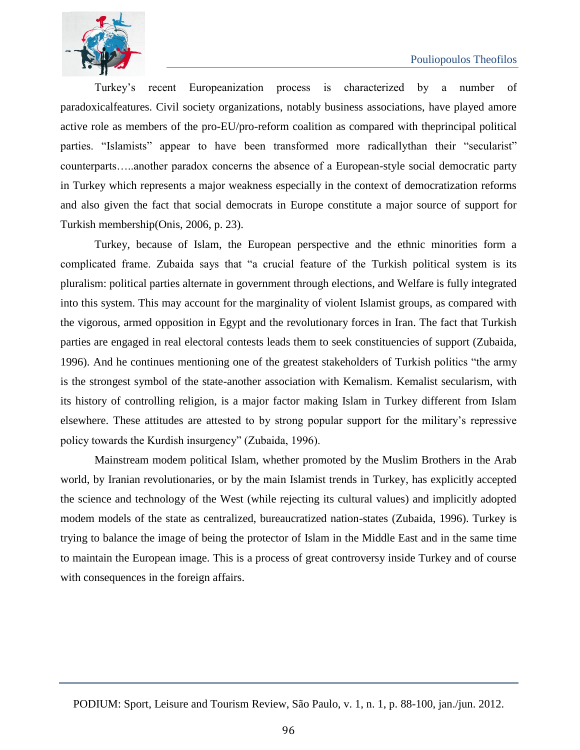

Turkey's recent Europeanization process is characterized by a number of paradoxicalfeatures. Civil society organizations, notably business associations, have played amore active role as members of the pro-EU/pro-reform coalition as compared with theprincipal political parties. "Islamists" appear to have been transformed more radicallythan their "secularist" counterparts…..another paradox concerns the absence of a European-style social democratic party in Turkey which represents a major weakness especially in the context of democratization reforms and also given the fact that social democrats in Europe constitute a major source of support for Turkish membership(Onis, 2006, p. 23).

Turkey, because of Islam, the European perspective and the ethnic minorities form a complicated frame. Zubaida says that "a crucial feature of the Turkish political system is its pluralism: political parties alternate in government through elections, and Welfare is fully integrated into this system. This may account for the marginality of violent Islamist groups, as compared with the vigorous, armed opposition in Egypt and the revolutionary forces in Iran. The fact that Turkish parties are engaged in real electoral contests leads them to seek constituencies of support (Zubaida, 1996). And he continues mentioning one of the greatest stakeholders of Turkish politics "the army is the strongest symbol of the state-another association with Kemalism. Kemalist secularism, with its history of controlling religion, is a major factor making Islam in Turkey different from Islam elsewhere. These attitudes are attested to by strong popular support for the military's repressive policy towards the Kurdish insurgency" (Zubaida, 1996).

Mainstream modem political Islam, whether promoted by the Muslim Brothers in the Arab world, by Iranian revolutionaries, or by the main Islamist trends in Turkey, has explicitly accepted the science and technology of the West (while rejecting its cultural values) and implicitly adopted modem models of the state as centralized, bureaucratized nation-states (Zubaida, 1996). Turkey is trying to balance the image of being the protector of Islam in the Middle East and in the same time to maintain the European image. This is a process of great controversy inside Turkey and of course with consequences in the foreign affairs.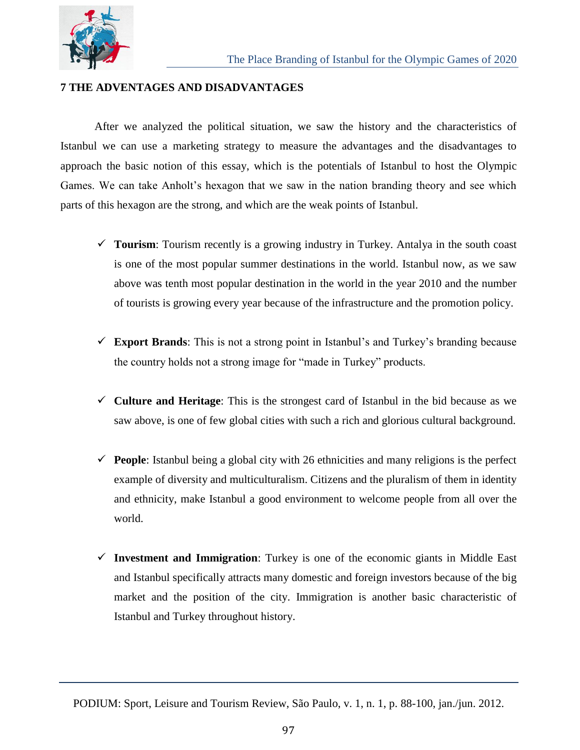

#### **7 THE ADVENTAGES AND DISADVANTAGES**

After we analyzed the political situation, we saw the history and the characteristics of Istanbul we can use a marketing strategy to measure the advantages and the disadvantages to approach the basic notion of this essay, which is the potentials of Istanbul to host the Olympic Games. We can take Anholt's hexagon that we saw in the nation branding theory and see which parts of this hexagon are the strong, and which are the weak points of Istanbul.

- **Tourism**: Tourism recently is a growing industry in Turkey. Antalya in the south coast is one of the most popular summer destinations in the world. Istanbul now, as we saw above was tenth most popular destination in the world in the year 2010 and the number of tourists is growing every year because of the infrastructure and the promotion policy.
- **Export Brands**: Τhis is not a strong point in Istanbul's and Turkey's branding because the country holds not a strong image for "made in Turkey" products.
- $\checkmark$  Culture and Heritage: This is the strongest card of Istanbul in the bid because as we saw above, is one of few global cities with such a rich and glorious cultural background.
- **People**: Istanbul being a global city with 26 ethnicities and many religions is the perfect example of diversity and multiculturalism. Citizens and the pluralism of them in identity and ethnicity, make Istanbul a good environment to welcome people from all over the world.
- **Investment and Immigration**: Turkey is one of the economic giants in Middle East and Istanbul specifically attracts many domestic and foreign investors because of the big market and the position of the city. Immigration is another basic characteristic of Istanbul and Turkey throughout history.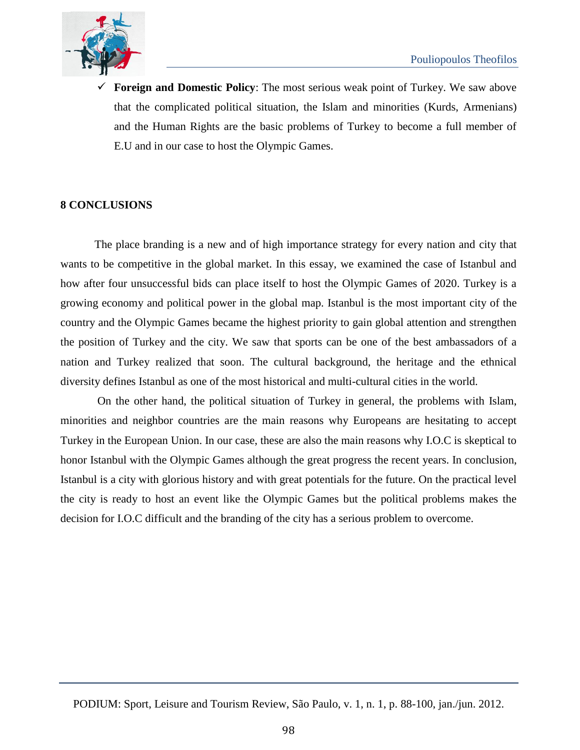

 **Foreign and Domestic Policy**: The most serious weak point of Turkey. We saw above that the complicated political situation, the Islam and minorities (Kurds, Armenians) and the Human Rights are the basic problems of Turkey to become a full member of E.U and in our case to host the Olympic Games.

#### **8 CONCLUSIONS**

The place branding is a new and of high importance strategy for every nation and city that wants to be competitive in the global market. In this essay, we examined the case of Istanbul and how after four unsuccessful bids can place itself to host the Olympic Games of 2020. Turkey is a growing economy and political power in the global map. Istanbul is the most important city of the country and the Olympic Games became the highest priority to gain global attention and strengthen the position of Turkey and the city. We saw that sports can be one of the best ambassadors of a nation and Turkey realized that soon. The cultural background, the heritage and the ethnical diversity defines Istanbul as one of the most historical and multi-cultural cities in the world.

On the other hand, the political situation of Turkey in general, the problems with Islam, minorities and neighbor countries are the main reasons why Europeans are hesitating to accept Turkey in the European Union. In our case, these are also the main reasons why I.O.C is skeptical to honor Istanbul with the Olympic Games although the great progress the recent years. In conclusion, Istanbul is a city with glorious history and with great potentials for the future. On the practical level the city is ready to host an event like the Olympic Games but the political problems makes the decision for I.O.C difficult and the branding of the city has a serious problem to overcome.

PODIUM: Sport, Leisure and Tourism Review, São Paulo, v. 1, n. 1, p. 88-100, jan./jun. 2012.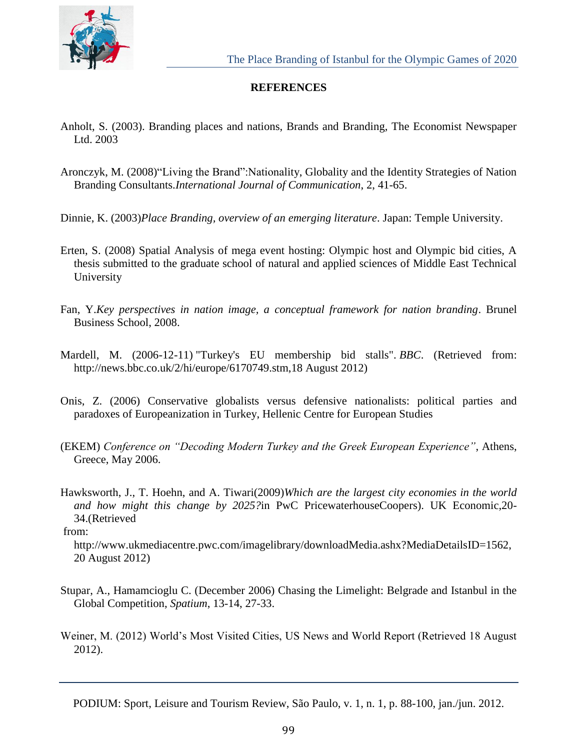

### **REFERENCES**

- Anholt, S. (2003). Branding places and nations, Brands and Branding, The Economist Newspaper Ltd. 2003
- Aronczyk, M. (2008)"Living the Brand":Nationality, Globality and the Identity Strategies of Nation Branding Consultants.*International Journal of Communication*, 2, 41-65.
- Dinnie, K. (2003)*Place Branding, overview of an emerging literature*. Japan: Temple University.
- Erten, S. (2008) Spatial Analysis of mega event hosting: Olympic host and Olympic bid cities, A thesis submitted to the graduate school of natural and applied sciences of Middle East Technical University
- Fan, Y.*Key perspectives in nation image, a conceptual framework for nation branding*. Brunel Business School, 2008.
- Mardell, M. (2006-12-11) "Turkey's EU membership bid stalls". *BBC*. (Retrieved from: http://news.bbc.co.uk/2/hi/europe/6170749.stm,18 August 2012)
- Onis, Z. (2006) Conservative globalists versus defensive nationalists: political parties and paradoxes of Europeanization in Turkey, Hellenic Centre for European Studies
- (EKEM) *Conference on "Decoding Modern Turkey and the Greek European Experience"*, Athens, Greece, May 2006.
- Hawksworth, J., T. Hoehn, and A. Tiwari(2009)*Which are the largest city economies in the world and how might this change by 2025?*in PwC PricewaterhouseCoopers). UK Economic,20- 34.(Retrieved

from:

http://www.ukmediacentre.pwc.com/imagelibrary/downloadMedia.ashx?MediaDetailsID=1562, 20 August 2012)

- Stupar, A., Hamamcioglu C. (December 2006) Chasing the Limelight: Belgrade and Istanbul in the Global Competition, *Spatium*, 13-14, 27-33.
- Weiner, M. (2012) World's Most Visited Cities, US News and World Report (Retrieved 18 August 2012).